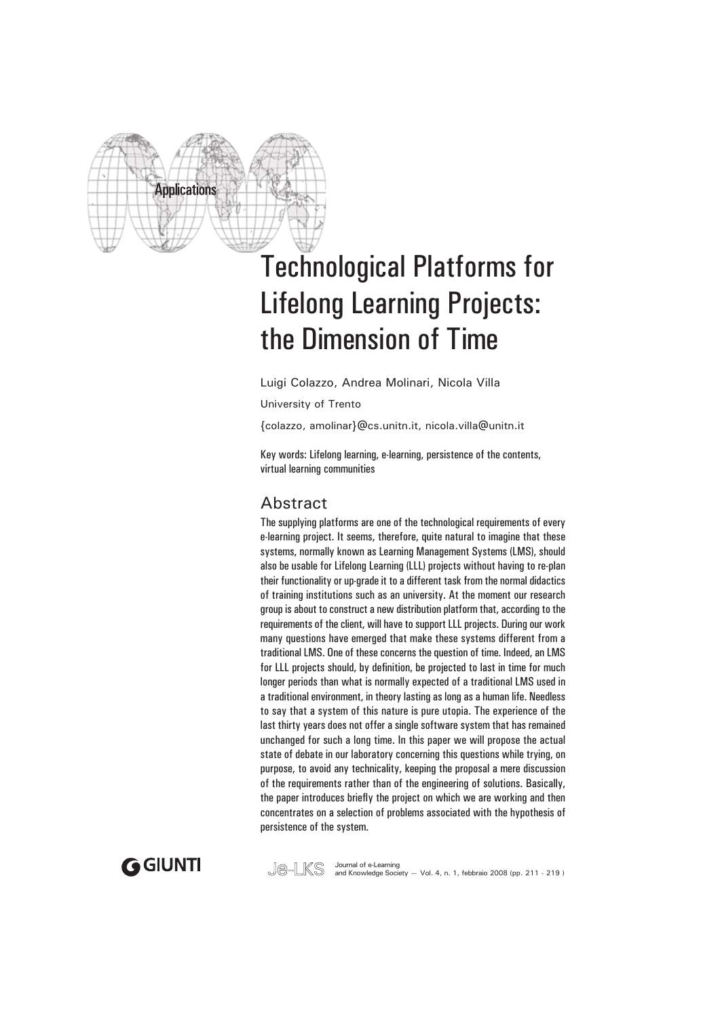

# Technological Platforms for Lifelong Learning Projects: the Dimension of Time

Luigi Colazzo, Andrea Molinari, Nicola Villa

University of Trento

{colazzo, amolinar}@cs.unitn.it, nicola.villa@unitn.it

Key words: Lifelong learning, e-learning, persistence of the contents, virtual learning communities

## Abstract

The supplying platforms are one of the technological requirements of every e-learning project. It seems, therefore, quite natural to imagine that these systems, normally known as Learning Management Systems (LMS), should also be usable for Lifelong Learning (LLL) projects without having to re-plan their functionality or up-grade it to a different task from the normal didactics of training institutions such as an university. At the moment our research group is about to construct a new distribution platform that, according to the requirements of the client, will have to support LLL projects. During our work many questions have emerged that make these systems different from a traditional LMS. One of these concerns the question of time. Indeed, an LMS for LLL projects should, by definition, be projected to last in time for much longer periods than what is normally expected of a traditional LMS used in a traditional environment, in theory lasting as long as a human life. Needless to say that a system of this nature is pure utopia. The experience of the last thirty years does not offer a single software system that has remained unchanged for such a long time. In this paper we will propose the actual state of debate in our laboratory concerning this questions while trying, on purpose, to avoid any technicality, keeping the proposal a mere discussion of the requirements rather than of the engineering of solutions. Basically, the paper introduces briefly the project on which we are working and then concentrates on a selection of problems associated with the hypothesis of persistence of the system.



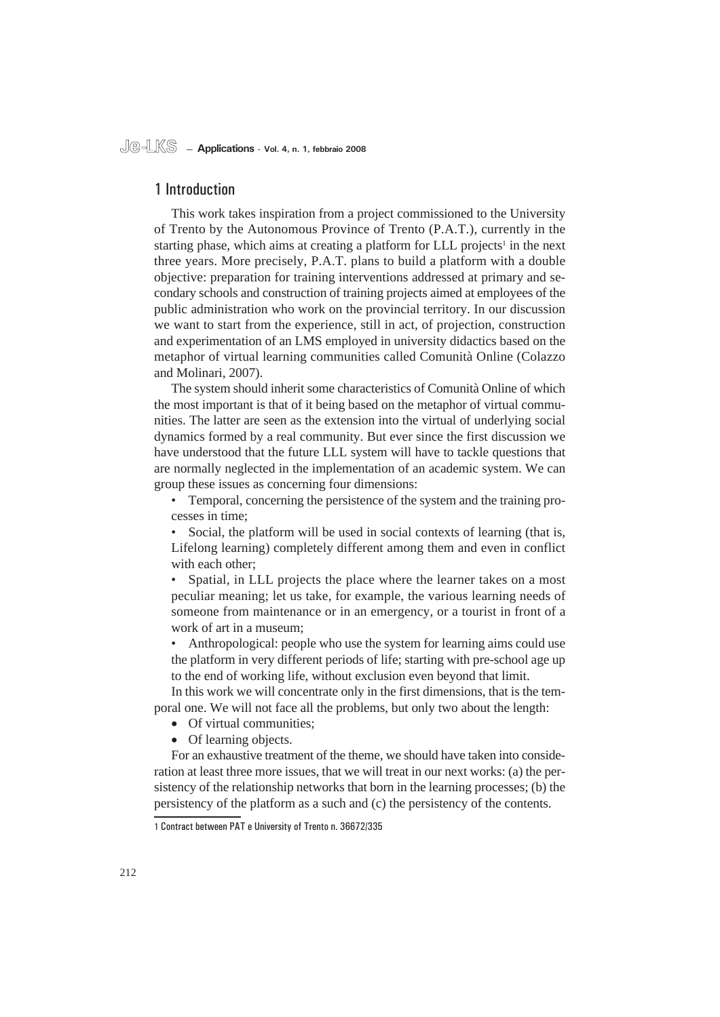## 1 Introduction

This work takes inspiration from a project commissioned to the University of Trento by the Autonomous Province of Trento (P.A.T.), currently in the starting phase, which aims at creating a platform for LLL projects<sup>1</sup> in the next three years. More precisely, P.A.T. plans to build a platform with a double objective: preparation for training interventions addressed at primary and secondary schools and construction of training projects aimed at employees of the public administration who work on the provincial territory. In our discussion we want to start from the experience, still in act, of projection, construction and experimentation of an LMS employed in university didactics based on the metaphor of virtual learning communities called Comunità Online (Colazzo and Molinari, 2007).

The system should inherit some characteristics of Comunità Online of which the most important is that of it being based on the metaphor of virtual communities. The latter are seen as the extension into the virtual of underlying social dynamics formed by a real community. But ever since the first discussion we have understood that the future LLL system will have to tackle questions that are normally neglected in the implementation of an academic system. We can group these issues as concerning four dimensions:

Temporal*,* concerning the persistence of the system and the training processes in time; •

• Social, the platform will be used in social contexts of learning (that is, Lifelong learning) completely different among them and even in conflict with each other;

Spatial*,* in LLL projects the place where the learner takes on a most peculiar meaning; let us take, for example, the various learning needs of someone from maintenance or in an emergency, or a tourist in front of a work of art in a museum; •

Anthropological: people who use the system for learning aims could use the platform in very different periods of life; starting with pre-school age up to the end of working life, without exclusion even beyond that limit. •

In this work we will concentrate only in the first dimensions, that is the temporal one. We will not face all the problems, but only two about the length:

- Of virtual communities;
- Of learning objects.

For an exhaustive treatment of the theme, we should have taken into consideration at least three more issues, that we will treat in our next works: (a) the persistency of the relationship networks that born in the learning processes; (b) the persistency of the platform as a such and (c) the persistency of the contents.

<sup>1</sup> Contract between PAT e University of Trento n. 36672/335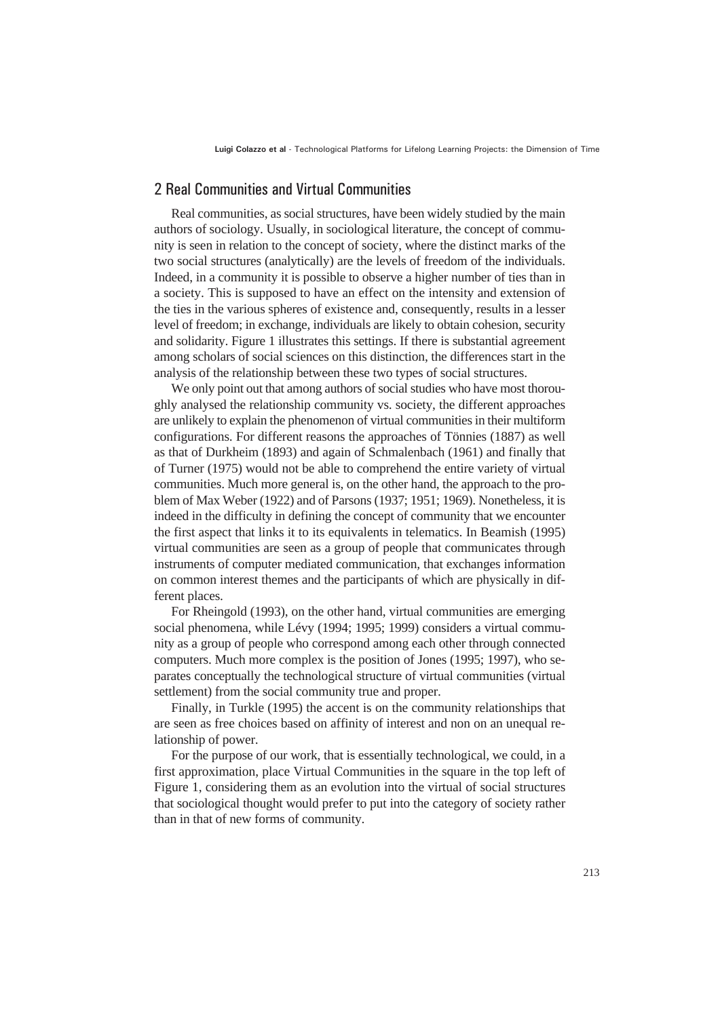**Luigi Colazzo et al** - Technological Platforms for Lifelong Learning Projects: the Dimension of Time

## 2 Real Communities and Virtual Communities

Real communities, as social structures, have been widely studied by the main authors of sociology. Usually, in sociological literature, the concept of community is seen in relation to the concept of society, where the distinct marks of the two social structures (analytically) are the levels of freedom of the individuals. Indeed, in a community it is possible to observe a higher number of ties than in a society. This is supposed to have an effect on the intensity and extension of the ties in the various spheres of existence and, consequently, results in a lesser level of freedom; in exchange, individuals are likely to obtain cohesion, security and solidarity. Figure 1 illustrates this settings. If there is substantial agreement among scholars of social sciences on this distinction, the differences start in the analysis of the relationship between these two types of social structures.

We only point out that among authors of social studies who have most thoroughly analysed the relationship community vs. society, the different approaches are unlikely to explain the phenomenon of virtual communities in their multiform configurations. For different reasons the approaches of Tönnies (1887) as well as that of Durkheim (1893) and again of Schmalenbach (1961) and finally that of Turner (1975) would not be able to comprehend the entire variety of virtual communities. Much more general is, on the other hand, the approach to the problem of Max Weber (1922) and of Parsons (1937; 1951; 1969). Nonetheless, it is indeed in the difficulty in defining the concept of community that we encounter the first aspect that links it to its equivalents in telematics. In Beamish (1995) virtual communities are seen as a group of people that communicates through instruments of computer mediated communication*,* that exchanges information on common interest themes and the participants of which are physically in different places.

For Rheingold (1993), on the other hand, virtual communities are emerging social phenomena, while Lévy (1994; 1995; 1999) considers a virtual community as a group of people who correspond among each other through connected computers. Much more complex is the position of Jones (1995; 1997), who separates conceptually the technological structure of virtual communities (virtual settlement) from the social community true and proper.

Finally, in Turkle (1995) the accent is on the community relationships that are seen as free choices based on affinity of interest and non on an unequal relationship of power.

For the purpose of our work, that is essentially technological, we could, in a first approximation, place Virtual Communities in the square in the top left of Figure 1, considering them as an evolution into the virtual of social structures that sociological thought would prefer to put into the category of society rather than in that of new forms of community.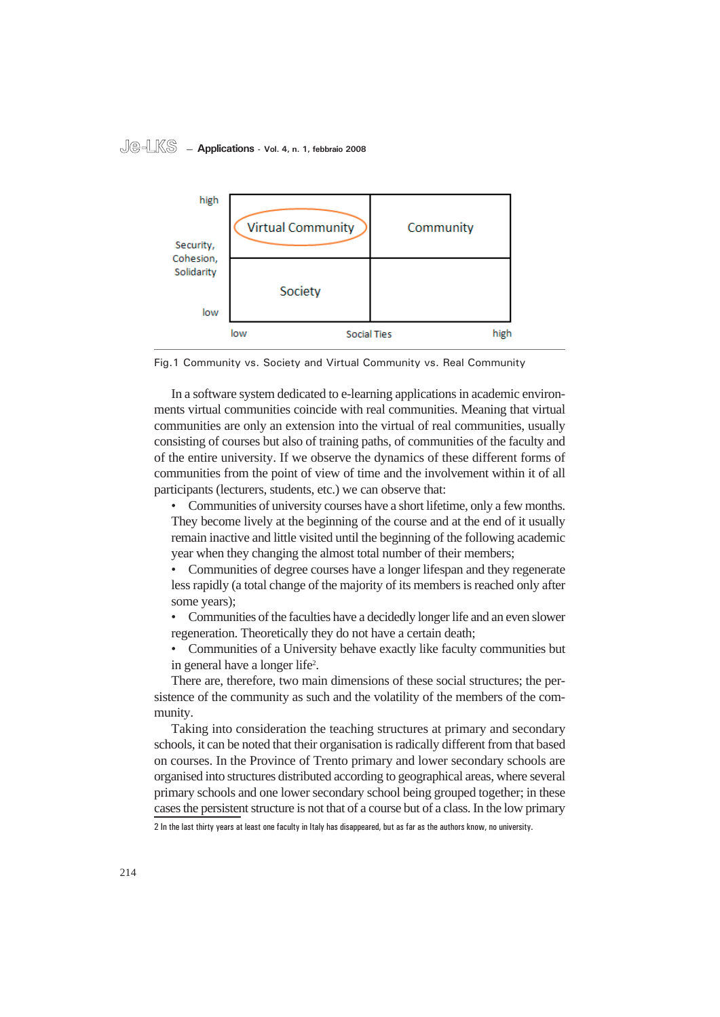#### **Je-LKS — Applications - Vol. 4, n. 1, febbraio 2008**



Fig.1 Community vs. Society and Virtual Community vs. Real Community

In a software system dedicated to e-learning applications in academic environments virtual communities coincide with real communities. Meaning that virtual communities are only an extension into the virtual of real communities, usually consisting of courses but also of training paths, of communities of the faculty and of the entire university. If we observe the dynamics of these different forms of communities from the point of view of time and the involvement within it of all participants (lecturers, students, etc.) we can observe that:

• Communities of university courses have a short lifetime, only a few months. They become lively at the beginning of the course and at the end of it usually remain inactive and little visited until the beginning of the following academic year when they changing the almost total number of their members;

Communities of degree courses have a longer lifespan and they regenerate less rapidly (a total change of the majority of its members is reached only after some years); •

Communities of the faculties have a decidedly longer life and an even slower regeneration. Theoretically they do not have a certain death; •

Communities of a University behave exactly like faculty communities but in general have a longer life<sup>2</sup>. •

There are, therefore, two main dimensions of these social structures; the persistence of the community as such and the volatility of the members of the community.

Taking into consideration the teaching structures at primary and secondary schools, it can be noted that their organisation is radically different from that based on courses. In the Province of Trento primary and lower secondary schools are organised into structures distributed according to geographical areas, where several primary schools and one lower secondary school being grouped together; in these cases the persistent structure is not that of a course but of a class. In the low primary

2 In the last thirty years at least one faculty in Italy has disappeared, but as far as the authors know, no university.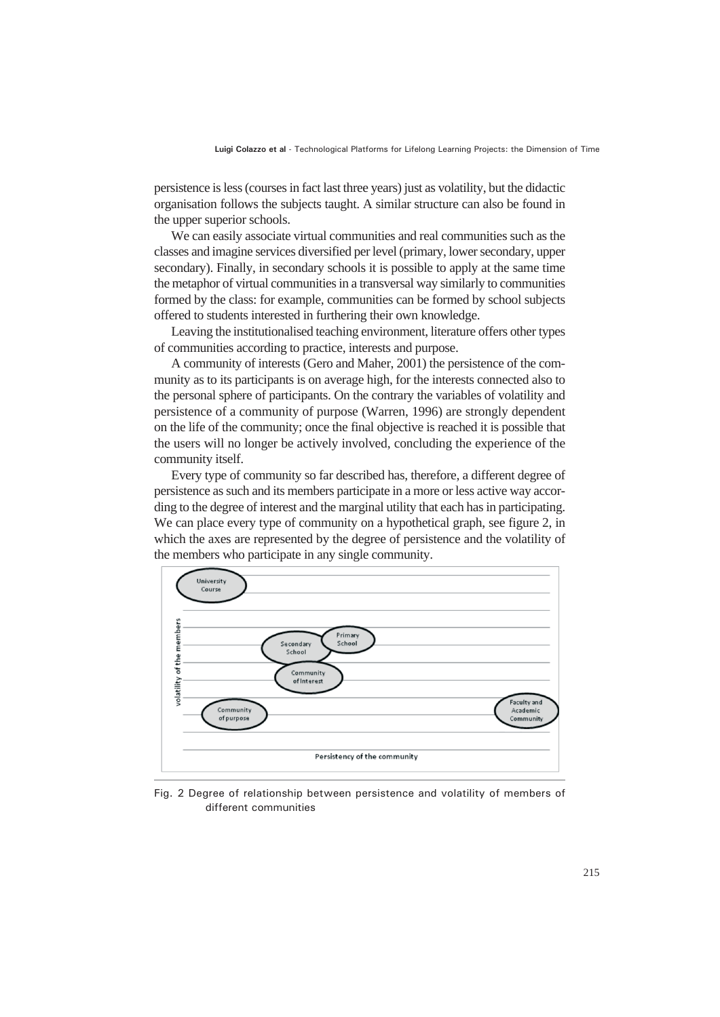persistence is less (courses in fact last three years) just as volatility, but the didactic organisation follows the subjects taught. A similar structure can also be found in the upper superior schools.

We can easily associate virtual communities and real communities such as the classes and imagine services diversified per level (primary, lower secondary, upper secondary). Finally, in secondary schools it is possible to apply at the same time the metaphor of virtual communities in a transversal way similarly to communities formed by the class: for example, communities can be formed by school subjects offered to students interested in furthering their own knowledge.

Leaving the institutionalised teaching environment, literature offers other types of communities according to practice, interests and purpose.

A community of interests (Gero and Maher, 2001) the persistence of the community as to its participants is on average high, for the interests connected also to the personal sphere of participants. On the contrary the variables of volatility and persistence of a community of purpose (Warren, 1996) are strongly dependent on the life of the community; once the final objective is reached it is possible that the users will no longer be actively involved, concluding the experience of the community itself.

Every type of community so far described has, therefore, a different degree of persistence as such and its members participate in a more or less active way according to the degree of interest and the marginal utility that each has in participating. We can place every type of community on a hypothetical graph, see figure 2, in which the axes are represented by the degree of persistence and the volatility of the members who participate in any single community.



Fig. 2 Degree of relationship between persistence and volatility of members of different communities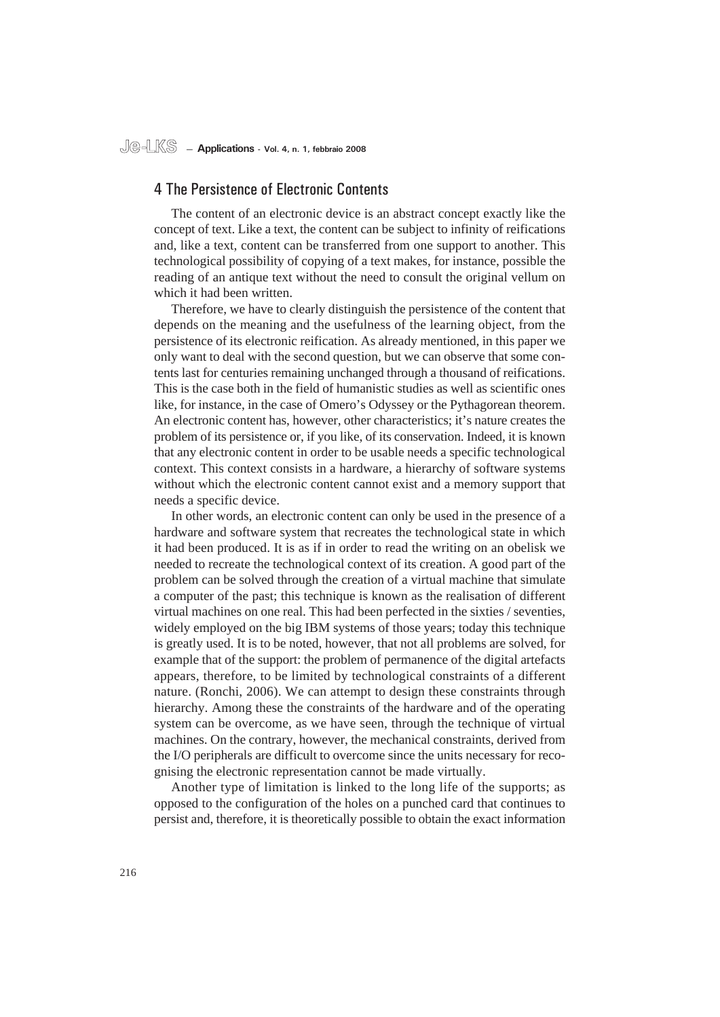### 4 The Persistence of Electronic Contents

The content of an electronic device is an abstract concept exactly like the concept of text. Like a text, the content can be subject to infinity of reifications and, like a text, content can be transferred from one support to another. This technological possibility of copying of a text makes, for instance, possible the reading of an antique text without the need to consult the original vellum on which it had been written.

Therefore, we have to clearly distinguish the persistence of the content that depends on the meaning and the usefulness of the learning object, from the persistence of its electronic reification. As already mentioned, in this paper we only want to deal with the second question, but we can observe that some contents last for centuries remaining unchanged through a thousand of reifications. This is the case both in the field of humanistic studies as well as scientific ones like, for instance, in the case of Omero's Odyssey or the Pythagorean theorem. An electronic content has, however, other characteristics; it's nature creates the problem of its persistence or, if you like, of its conservation. Indeed, it is known that any electronic content in order to be usable needs a specific technological context. This context consists in a hardware, a hierarchy of software systems without which the electronic content cannot exist and a memory support that needs a specific device.

In other words, an electronic content can only be used in the presence of a hardware and software system that recreates the technological state in which it had been produced. It is as if in order to read the writing on an obelisk we needed to recreate the technological context of its creation. A good part of the problem can be solved through the creation of a virtual machine that simulate a computer of the past; this technique is known as the realisation of different virtual machines on one real. This had been perfected in the sixties / seventies, widely employed on the big IBM systems of those years; today this technique is greatly used. It is to be noted, however, that not all problems are solved, for example that of the support: the problem of permanence of the digital artefacts appears, therefore, to be limited by technological constraints of a different nature. (Ronchi, 2006). We can attempt to design these constraints through hierarchy. Among these the constraints of the hardware and of the operating system can be overcome, as we have seen, through the technique of virtual machines. On the contrary, however, the mechanical constraints, derived from the I/O peripherals are difficult to overcome since the units necessary for recognising the electronic representation cannot be made virtually.

Another type of limitation is linked to the long life of the supports; as opposed to the configuration of the holes on a punched card that continues to persist and, therefore, it is theoretically possible to obtain the exact information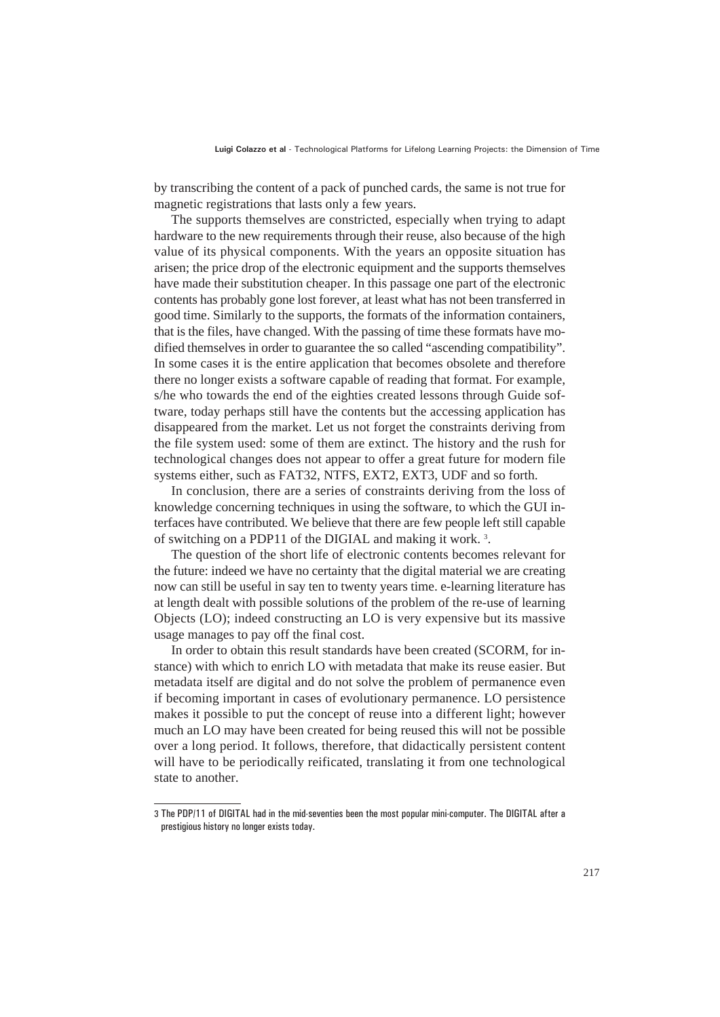by transcribing the content of a pack of punched cards, the same is not true for magnetic registrations that lasts only a few years.

The supports themselves are constricted, especially when trying to adapt hardware to the new requirements through their reuse, also because of the high value of its physical components. With the years an opposite situation has arisen; the price drop of the electronic equipment and the supports themselves have made their substitution cheaper. In this passage one part of the electronic contents has probably gone lost forever, at least what has not been transferred in good time. Similarly to the supports, the formats of the information containers, that is the files, have changed. With the passing of time these formats have modified themselves in order to guarantee the so called "ascending compatibility". In some cases it is the entire application that becomes obsolete and therefore there no longer exists a software capable of reading that format. For example, s/he who towards the end of the eighties created lessons through Guide software, today perhaps still have the contents but the accessing application has disappeared from the market. Let us not forget the constraints deriving from the file system used: some of them are extinct. The history and the rush for technological changes does not appear to offer a great future for modern file systems either, such as FAT32, NTFS, EXT2, EXT3, UDF and so forth.

In conclusion, there are a series of constraints deriving from the loss of knowledge concerning techniques in using the software, to which the GUI interfaces have contributed. We believe that there are few people left still capable of switching on a PDP11 of the DIGIAL and making it work.<sup>3</sup>.

The question of the short life of electronic contents becomes relevant for the future: indeed we have no certainty that the digital material we are creating now can still be useful in say ten to twenty years time. e-learning literature has at length dealt with possible solutions of the problem of the re-use of learning Objects (LO); indeed constructing an LO is very expensive but its massive usage manages to pay off the final cost.

In order to obtain this result standards have been created (SCORM, for instance) with which to enrich LO with metadata that make its reuse easier. But metadata itself are digital and do not solve the problem of permanence even if becoming important in cases of evolutionary permanence. LO persistence makes it possible to put the concept of reuse into a different light; however much an LO may have been created for being reused this will not be possible over a long period. It follows, therefore, that didactically persistent content will have to be periodically reificated, translating it from one technological state to another.

<sup>3</sup> The PDP/11 of DIGITAL had in the mid-seventies been the most popular mini-computer. The DIGITAL after a prestigious history no longer exists today.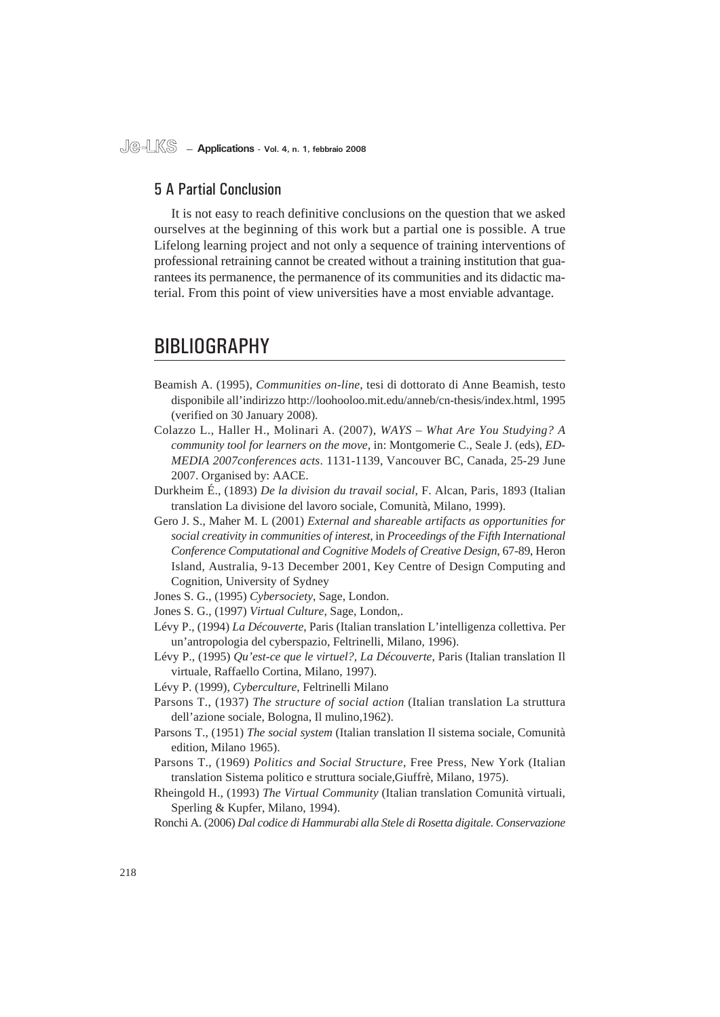## 5 A Partial Conclusion

It is not easy to reach definitive conclusions on the question that we asked ourselves at the beginning of this work but a partial one is possible. A true Lifelong learning project and not only a sequence of training interventions of professional retraining cannot be created without a training institution that guarantees its permanence, the permanence of its communities and its didactic material. From this point of view universities have a most enviable advantage.

## BIBLIOGRAPHY

- Beamish A. (1995), *Communities on-line*, tesi di dottorato di Anne Beamish, testo disponibile all'indirizzo http://loohooloo.mit.edu/anneb/cn-thesis/index.html, 1995 (verified on 30 January 2008).
- Colazzo L., Haller H., Molinari A. (2007), *WAYS What Are You Studying? A community tool for learners on the move*, in: Montgomerie C., Seale J. (eds), *ED-MEDIA 2007conferences acts*. 1131-1139, Vancouver BC, Canada, 25-29 June 2007. Organised by: AACE.
- Durkheim É., (1893) *De la division du travail social*, F. Alcan, Paris, 1893 (Italian translation La divisione del lavoro sociale, Comunità, Milano, 1999).
- Gero J. S., Maher M. L (2001) *External and shareable artifacts as opportunities for social creativity in communities of interest*, in *Proceedings of the Fifth International Conference Computational and Cognitive Models of Creative Design*, 67-89, Heron Island, Australia, 9-13 December 2001, Key Centre of Design Computing and Cognition, University of Sydney

- Jones S. G., (1997) *Virtual Culture*, Sage, London,.
- Lévy P., (1994) *La Découverte*, Paris (Italian translation L'intelligenza collettiva. Per un'antropologia del cyberspazio, Feltrinelli, Milano, 1996).
- Lévy P., (1995) *Qu'est-ce que le virtuel?, La Découverte*, Paris (Italian translation Il virtuale, Raffaello Cortina, Milano, 1997).
- Lévy P. (1999), *Cyberculture*, Feltrinelli Milano
- Parsons T., (1937) *The structure of social action* (Italian translation La struttura dell'azione sociale, Bologna, Il mulino,1962).
- Parsons T., (1951) *The social system* (Italian translation Il sistema sociale, Comunità edition, Milano 1965).
- Parsons T., (1969) *Politics and Social Structure*, Free Press, New York (Italian translation Sistema politico e struttura sociale,Giuffrè, Milano, 1975).
- Rheingold H., (1993) *The Virtual Community* (Italian translation Comunità virtuali, Sperling & Kupfer, Milano, 1994).

Ronchi A. (2006) *Dal codice di Hammurabi alla Stele di Rosetta digitale. Conservazione* 

Jones S. G., (1995) *Cybersociety*, Sage, London.